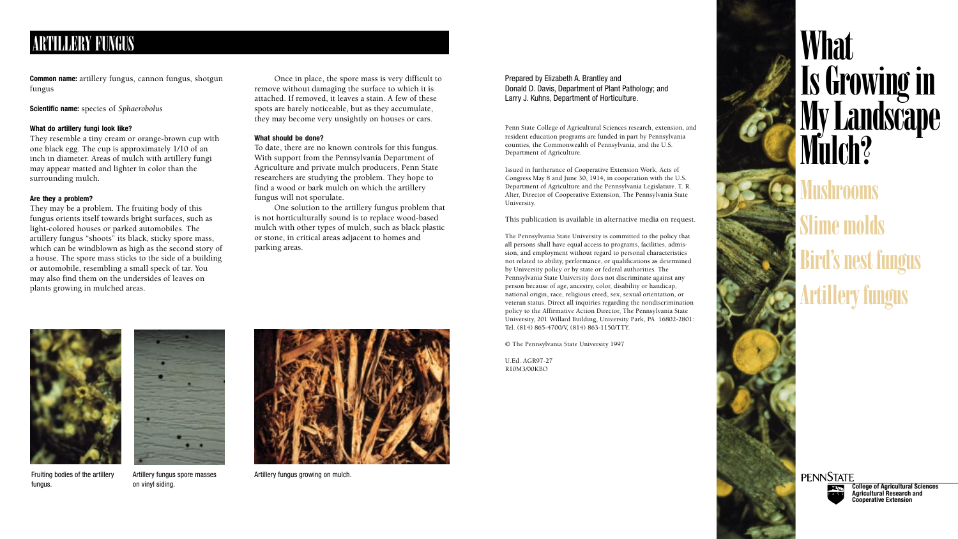# **What** Is Growing in My Landscape Mulch? **Tushrooms Slime mo** Bird's nest fungus Artillery fungus



### Prepared by Elizabeth A. Brantley and Donald D. Davis, Department of Plant Pathology; and Larry J. Kuhns, Department of Horticulture.

Penn State College of Agricultural Sciences research, extension, and resident education programs are funded in part by Pennsylvania counties, the Commonwealth of Pennsylvania, and the U.S. Department of Agriculture.

Issued in furtherance of Cooperative Extension Work, Acts of Congress May 8 and June 30, 1914, in cooperation with the U.S. Department of Agriculture and the Pennsylvania Legislature. T. R. Alter, Director of Cooperative Extension, The Pennsylvania State University.

This publication is available in alternative media on request.

The Pennsylvania State University is committed to the policy that all persons shall have equal access to programs, facilities, admission, and employment without regard to personal characteristics not related to ability, performance, or qualifications as determined by University policy or by state or federal authorities. The Pennsylvania State University does not discriminate against any person because of age, ancestry, color, disability or handicap, national origin, race, religious creed, sex, sexual orientation, or veteran status. Direct all inquiries regarding the nondiscrimination policy to the Affirmative Action Director, The Pennsylvania State University, 201 Willard Building, University Park, PA 16802-2801: Tel. (814) 865-4700/V, (814) 863-1150/TTY.

© The Pennsylvania State University 1997

U.Ed. AGR97-27 R10M3/00KBO



fungus.

**College of Agricultural Sciences Agricultural Research and Cooperative Extension**

**Common name:** artillery fungus, cannon fungus, shotgun fungus

**Scientific name:** species of *Sphaerobolus*

### **What do artillery fungi look like?**

They resemble a tiny cream or orange-brown cup with one black egg. The cup is approximately 1/10 of an inch in diameter. Areas of mulch with artillery fungi may appear matted and lighter in color than the surrounding mulch.

### **Are they a problem?**

They may be a problem. The fruiting body of this fungus orients itself towards bright surfaces, such as light-colored houses or parked automobiles. The artillery fungus "shoots" its black, sticky spore mass, which can be windblown as high as the second story of a house. The spore mass sticks to the side of a building or automobile, resembling a small speck of tar. You may also find them on the undersides of leaves on plants growing in mulched areas.

## ARTILLERY FUNGUS

Once in place, the spore mass is very difficult to remove without damaging the surface to which it is attached. If removed, it leaves a stain. A few of these spots are barely noticeable, but as they accumulate, they may become very unsightly on houses or cars.

### **What should be done?**

To date, there are no known controls for this fungus. With support from the Pennsylvania Department of Agriculture and private mulch producers, Penn State researchers are studying the problem. They hope to find a wood or bark mulch on which the artillery fungus will not sporulate.

One solution to the artillery fungus problem that is not horticulturally sound is to replace wood-based mulch with other types of mulch, such as black plastic or stone, in critical areas adjacent to homes and parking areas.

Fruiting bodies of the artillery on vinyl siding.



Artillery fungus spore masses



Artillery fungus growing on mulch.